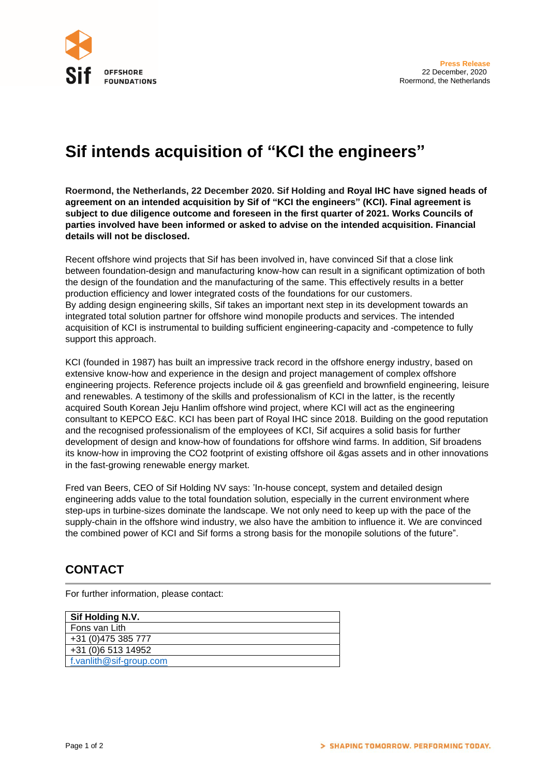

## **Sif intends acquisition of "KCI the engineers"**

**Roermond, the Netherlands, 22 December 2020. Sif Holding and Royal IHC have signed heads of agreement on an intended acquisition by Sif of "KCI the engineers" (KCI). Final agreement is subject to due diligence outcome and foreseen in the first quarter of 2021. Works Councils of parties involved have been informed or asked to advise on the intended acquisition. Financial details will not be disclosed.**

Recent offshore wind projects that Sif has been involved in, have convinced Sif that a close link between foundation-design and manufacturing know-how can result in a significant optimization of both the design of the foundation and the manufacturing of the same. This effectively results in a better production efficiency and lower integrated costs of the foundations for our customers. By adding design engineering skills, Sif takes an important next step in its development towards an integrated total solution partner for offshore wind monopile products and services. The intended acquisition of KCI is instrumental to building sufficient engineering-capacity and -competence to fully support this approach.

KCI (founded in 1987) has built an impressive track record in the offshore energy industry, based on extensive know-how and experience in the design and project management of complex offshore engineering projects. Reference projects include oil & gas greenfield and brownfield engineering, leisure and renewables. A testimony of the skills and professionalism of KCI in the latter, is the recently acquired South Korean Jeju Hanlim offshore wind project, where KCI will act as the engineering consultant to KEPCO E&C. KCI has been part of Royal IHC since 2018. Building on the good reputation and the recognised professionalism of the employees of KCI, Sif acquires a solid basis for further development of design and know-how of foundations for offshore wind farms. In addition, Sif broadens its know-how in improving the CO2 footprint of existing offshore oil &gas assets and in other innovations in the fast-growing renewable energy market.

Fred van Beers, CEO of Sif Holding NV says: 'In-house concept, system and detailed design engineering adds value to the total foundation solution, especially in the current environment where step-ups in turbine-sizes dominate the landscape. We not only need to keep up with the pace of the supply-chain in the offshore wind industry, we also have the ambition to influence it. We are convinced the combined power of KCI and Sif forms a strong basis for the monopile solutions of the future".

## **CONTACT**

For further information, please contact:

| Sif Holding N.V.        |  |
|-------------------------|--|
| Fons van Lith           |  |
| +31 (0) 475 385 777     |  |
| +31 (0)6 513 14952      |  |
| f.vanlith@sif-group.com |  |